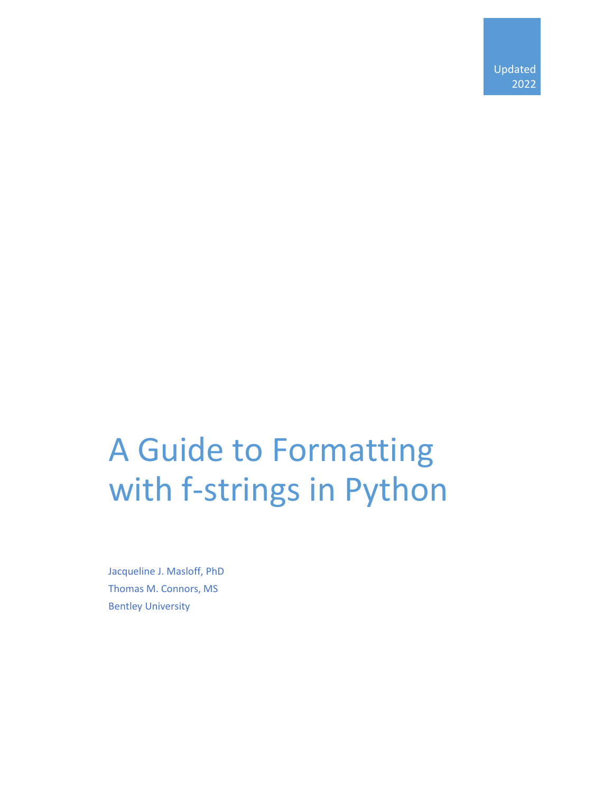# A Guide to Formatting with f-strings in Python

Jacqueline J. Masloff, PhD Thomas M. Connors, MS Bentley University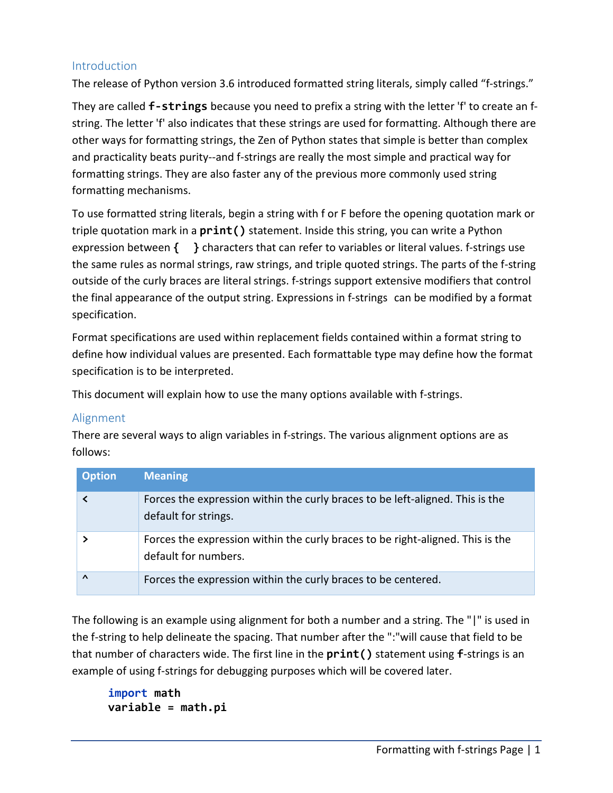#### Introduction

The release of Python version 3.6 introduced formatted string literals, simply called "f-strings."

They are called **f-strings** because you need to prefix a string with the letter 'f' to create an fstring. The letter 'f' also indicates that these strings are used for formatting. Although there are other ways for formatting strings, the Zen of Python states that simple is better than complex and practicality beats purity--and f-strings are really the most simple and practical way for formatting strings. They are also faster any of the previous more commonly used string formatting mechanisms.

To use formatted string literals, begin a string with f or F before the opening quotation mark or triple quotation mark in a **print()** statement. Inside this string, you can write a Python expression between **{ }** characters that can refer to variables or literal values. f-strings use the same rules as normal strings, raw strings, and triple quoted strings. The parts of the f-string outside of the curly braces are literal strings. f-strings support extensive modifiers that control the final appearance of the output string. Expressions in f-strings can be modified by a format specification.

Format specifications are used within replacement fields contained within a format string to define how individual values are presented. Each formattable type may define how the format specification is to be interpreted.

This document will explain how to use the many options available with f-strings.

#### Alignment

There are several ways to align variables in f-strings. The various alignment options are as follows:

| <b>Option</b> | <b>Meaning</b>                                                                                         |
|---------------|--------------------------------------------------------------------------------------------------------|
|               | Forces the expression within the curly braces to be left-aligned. This is the<br>default for strings.  |
|               | Forces the expression within the curly braces to be right-aligned. This is the<br>default for numbers. |
| $\Lambda$     | Forces the expression within the curly braces to be centered.                                          |

The following is an example using alignment for both a number and a string. The "|" is used in the f-string to help delineate the spacing. That number after the ":"will cause that field to be that number of characters wide. The first line in the **print()** statement using **f**-strings is an example of using f-strings for debugging purposes which will be covered later.

**import math variable = math.pi**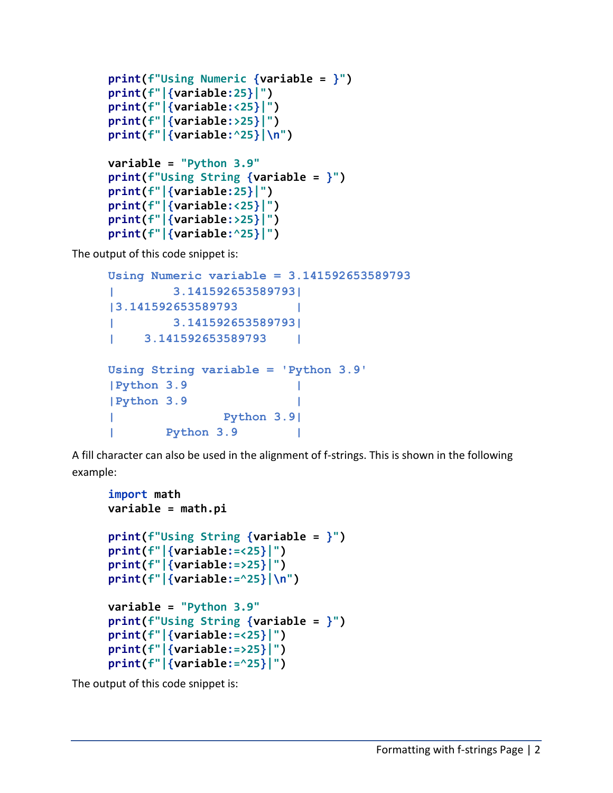```
print(f"Using Numeric {variable = }")
print(f"|{variable:25}|")
print(f"|{variable:<25}|")
print(f"|{variable:>25}|")
print(f"|{variable:^25}|\n")
variable = "Python 3.9"
print(f"Using String {variable = }")
print(f"|{variable:25}|")
print(f"|{variable:<25}|")
print(f"|{variable:>25}|")
print(f"|{variable:^25}|")
```
The output of this code snippet is:

```
Using Numeric variable = 3.141592653589793
| 3.141592653589793|
|3.141592653589793 |
       | 3.141592653589793|
| 3.141592653589793 |
Using String variable = 'Python 3.9'
|Python 3.9 |
|Python 3.9 |
             | Python 3.9|
| Python 3.9 |
```
A fill character can also be used in the alignment of f-strings. This is shown in the following example:

```
import math
variable = math.pi
print(f"Using String {variable = }")
print(f"|{variable:=<25}|")
print(f"|{variable:=>25}|")
print(f"|{variable:=^25}|\n")
variable = "Python 3.9"
print(f"Using String {variable = }")
print(f"|{variable:=<25}|")
print(f"|{variable:=>25}|")
print(f"|{variable:=^25}|")
```
The output of this code snippet is: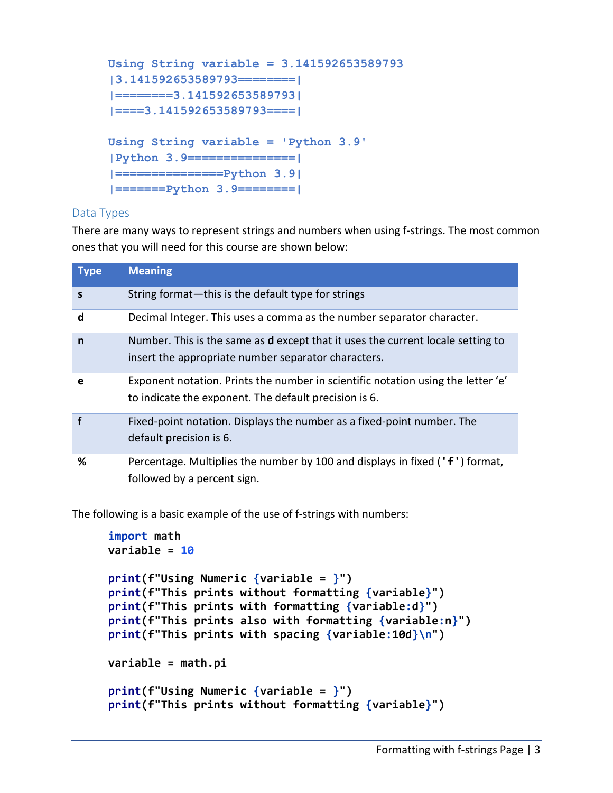```
Using String variable = 3.141592653589793
|3.141592653589793========|
|========3.141592653589793|
|====3.141592653589793====|
Using String variable = 'Python 3.9'
|Python 3.9===============|
|===============Python 3.9|
|=======Python 3.9========|
```
#### Data Types

There are many ways to represent strings and numbers when using f-strings. The most common ones that you will need for this course are shown below:

| <b>Type</b> | <b>Meaning</b>                                                                                                                                |
|-------------|-----------------------------------------------------------------------------------------------------------------------------------------------|
| $\mathbf S$ | String format—this is the default type for strings                                                                                            |
| d           | Decimal Integer. This uses a comma as the number separator character.                                                                         |
| n           | Number. This is the same as <b>d</b> except that it uses the current locale setting to<br>insert the appropriate number separator characters. |
| e           | Exponent notation. Prints the number in scientific notation using the letter 'e'<br>to indicate the exponent. The default precision is 6.     |
|             | Fixed-point notation. Displays the number as a fixed-point number. The<br>default precision is 6.                                             |
| %           | Percentage. Multiplies the number by 100 and displays in fixed ('f') format,<br>followed by a percent sign.                                   |

The following is a basic example of the use of f-strings with numbers:

```
import math
variable = 10
print(f"Using Numeric {variable = }")
print(f"This prints without formatting {variable}")
print(f"This prints with formatting {variable:d}")
print(f"This prints also with formatting {variable:n}")
print(f"This prints with spacing {variable:10d}\n")
variable = math.pi
print(f"Using Numeric {variable = }")
print(f"This prints without formatting {variable}")
```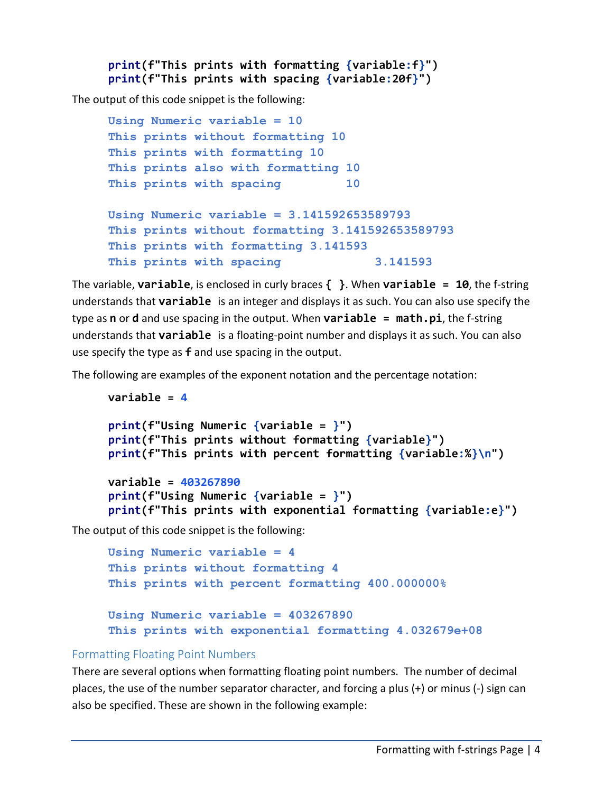```
print(f"This prints with formatting {variable:f}")
print(f"This prints with spacing {variable:20f}")
```
The output of this code snippet is the following:

```
Using Numeric variable = 10
This prints without formatting 10
This prints with formatting 10
This prints also with formatting 10
This prints with spacing 10
Using Numeric variable = 3.141592653589793
This prints without formatting 3.141592653589793
This prints with formatting 3.141593
This prints with spacing 3.141593
```
The variable, **variable**, is enclosed in curly braces **{ }**. When **variable = 10**, the f-string understands that **variable** is an integer and displays it as such. You can also use specify the type as **n** or **d** and use spacing in the output. When **variable = math.pi**, the f-string understands that **variable** is a floating-point number and displays it as such. You can also use specify the type as **f** and use spacing in the output.

The following are examples of the exponent notation and the percentage notation:

```
variable = 4
print(f"Using Numeric {variable = }")
print(f"This prints without formatting {variable}")
print(f"This prints with percent formatting {variable:%}\n")
variable = 403267890
print(f"Using Numeric {variable = }")
print(f"This prints with exponential formatting {variable:e}")
```
The output of this code snippet is the following:

```
Using Numeric variable = 4
This prints without formatting 4
This prints with percent formatting 400.000000%
Using Numeric variable = 403267890
This prints with exponential formatting 4.032679e+08
```
#### Formatting Floating Point Numbers

There are several options when formatting floating point numbers. The number of decimal places, the use of the number separator character, and forcing a plus (+) or minus (-) sign can also be specified. These are shown in the following example: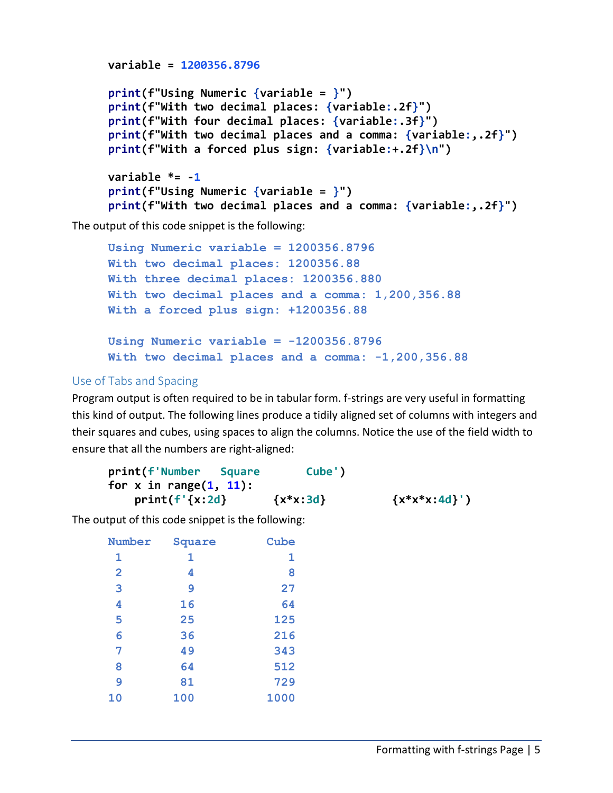```
variable = 1200356.8796
print(f"Using Numeric {variable = }")
print(f"With two decimal places: {variable:.2f}")
print(f"With four decimal places: {variable:.3f}")
print(f"With two decimal places and a comma: {variable:,.2f}")
print(f"With a forced plus sign: {variable:+.2f}\n")
variable *= -1
print(f"Using Numeric {variable = }")
print(f"With two decimal places and a comma: {variable:,.2f}")
```
The output of this code snippet is the following:

```
Using Numeric variable = 1200356.8796
With two decimal places: 1200356.88
With three decimal places: 1200356.880
With two decimal places and a comma: 1,200,356.88
With a forced plus sign: +1200356.88
Using Numeric variable = -1200356.8796
```
**With two decimal places and a comma: -1,200,356.88**

# Use of Tabs and Spacing

Program output is often required to be in tabular form. f-strings are very useful in formatting this kind of output. The following lines produce a tidily aligned set of columns with integers and their squares and cubes, using spaces to align the columns. Notice the use of the field width to ensure that all the numbers are right-aligned:

| print(f'Number<br><b>Sauare</b> | Cube')       |                   |
|---------------------------------|--------------|-------------------|
| for x in range $(1, 11)$ :      |              |                   |
| print(f'(x:2d))                 | $\{x*x:3d\}$ | $\{x^*x^*x:4d\}'$ |

The output of this code snippet is the following:

| Number         | Square | Cube |
|----------------|--------|------|
| 1              | 1      | 1    |
| $\overline{2}$ | 4      | 8    |
| 3              | 9      | 27   |
| 4              | 16     | 64   |
| 5              | 25     | 125  |
| 6              | 36     | 216  |
| 7              | 49     | 343  |
| 8              | 64     | 512  |
| 9              | 81     | 729  |
| 10             | 100    | 1000 |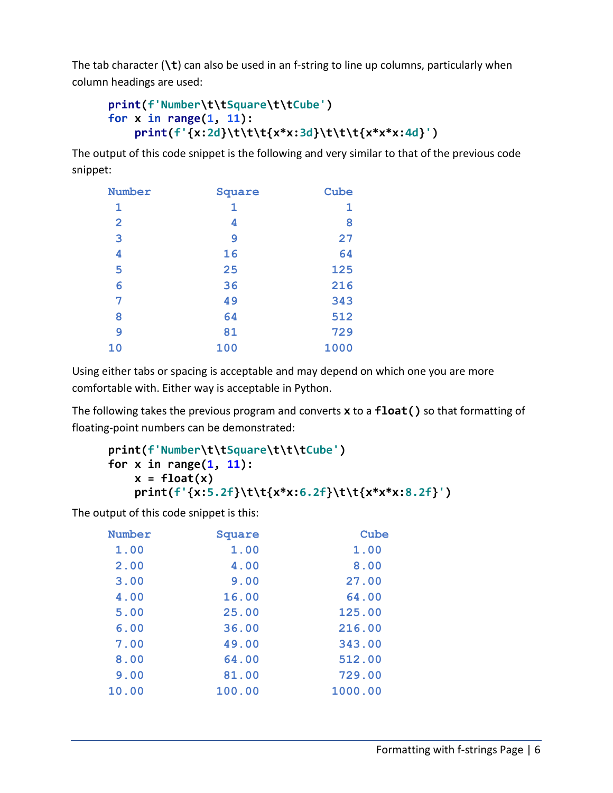The tab character (**\t**) can also be used in an f-string to line up columns, particularly when column headings are used:

```
print(f'Number\t\tSquare\t\tCube')
for x in range(1, 11):
     print(f'{x:2d}\t\t\t{x*x:3d}\t\t\t{x*x*x:4d}')
```
The output of this code snippet is the following and very similar to that of the previous code snippet:

| Number         | Square | Cube |
|----------------|--------|------|
| 1              | 1      | 1    |
| $\overline{2}$ | 4      | 8    |
| 3              | 9      | 27   |
| 4              | 16     | 64   |
| 5              | 25     | 125  |
| 6              | 36     | 216  |
| 7              | 49     | 343  |
| 8              | 64     | 512  |
| 9              | 81     | 729  |
| 10             | 100    | 1000 |

Using either tabs or spacing is acceptable and may depend on which one you are more comfortable with. Either way is acceptable in Python.

The following takes the previous program and converts **x** to a **float()** so that formatting of floating-point numbers can be demonstrated:

```
print(f'Number\t\tSquare\t\t\tCube')
for x in range(1, 11):
   x = float(x) print(f'{x:5.2f}\t\t{x*x:6.2f}\t\t{x*x*x:8.2f}')
```
The output of this code snippet is this:

| Number | Square | Cube    |
|--------|--------|---------|
| 1.00   | 1.00   | 1.00    |
| 2.00   | 4.00   | 8.00    |
| 3.00   | 9.00   | 27.00   |
| 4.00   | 16.00  | 64.00   |
| 5.00   | 25.00  | 125.00  |
| 6.00   | 36.00  | 216.00  |
| 7.00   | 49.00  | 343.00  |
| 8.00   | 64.00  | 512.00  |
| 9.00   | 81.00  | 729.00  |
| 10.00  | 100.00 | 1000.00 |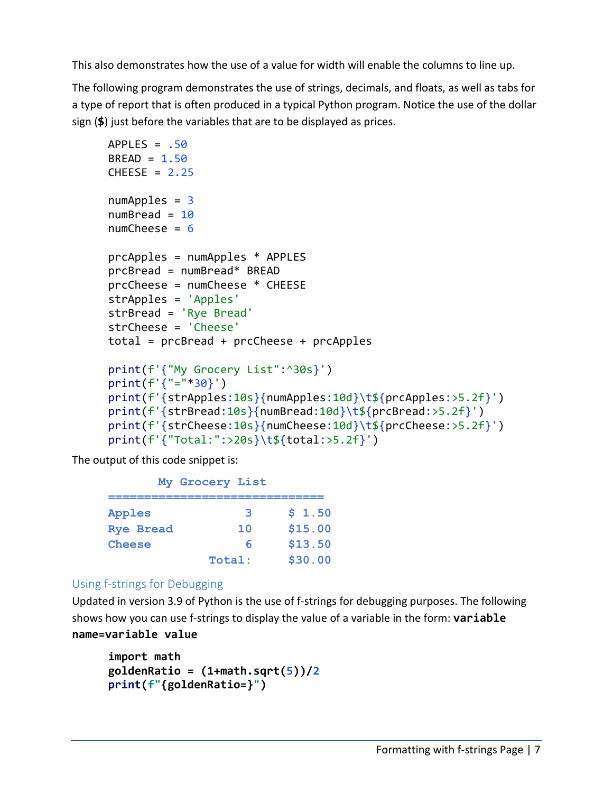This also demonstrates how the use of a value for width will enable the columns to line up.

The following program demonstrates the use of strings, decimals, and floats, as well as tabs for a type of report that is often produced in a typical Python program. Notice the use of the dollar sign (**\$**) just before the variables that are to be displayed as prices.

```
APPLES = .50BREAD = 1.50CHEESE = 2.25numApples = 3numBread = 10numCheck = 6prcApples = numApples * APPLES
prcBread = numBread* BREAD
prcCheese = numCheese * CHEESE
strApples = 'Apples'
strBread = 'Rye Bread'
strCheese = 'Cheese'
total = prcBread + prcCheese + prcApples
print(f'{"My Grocery List":^30s}')
print(f'{"="*30}')
print(f'{strApples:10s}{numApples:10d}\t${prcApples:>5.2f}')
print(f'{strBread:10s}{numBread:10d}\t${prcBread:>5.2f}')
print(f'{strCheese:10s}{numCheese:10d}\t${prcCheese:>5.2f}')
print(f'{"Total:":>20s}\t${total:>5.2f}')
```
The output of this code snippet is:

| My Grocery List |         |
|-----------------|---------|
| З               | \$1.50  |
| 10              | \$15.00 |
| ค               | \$13.50 |
| Total:          | \$30.00 |
|                 |         |

### Using f-strings for Debugging

Updated in version 3.9 of Python is the use of f-strings for debugging purposes. The following shows how you can use f-strings to display the value of a variable in the form: **variable name=variable value**

```
import math
goldenRatio = (1+math.sqrt(5))/2
print(f"{goldenRatio=}")
```